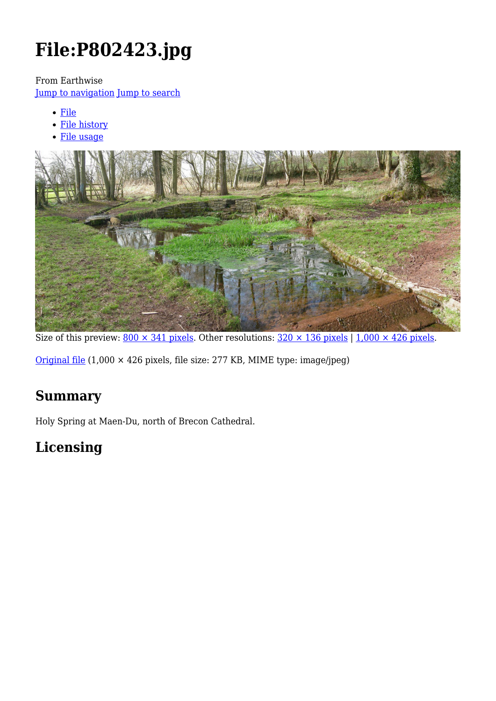# **File:P802423.jpg**

From Earthwise

[Jump to navigation](#page--1-0) [Jump to search](#page--1-0)

- [File](#page--1-0)
- [File history](#page--1-0)
- [File usage](#page--1-0)



Size of this preview:  $800 \times 341$  pixels. Other resolutions:  $320 \times 136$  pixels | 1,000  $\times$  426 pixels.

[Original file](http://earthwise.bgs.ac.uk/images/6/6c/P802423.jpg) (1,000 × 426 pixels, file size: 277 KB, MIME type: image/jpeg)

# **Summary**

Holy Spring at Maen-Du, north of Brecon Cathedral.

# **Licensing**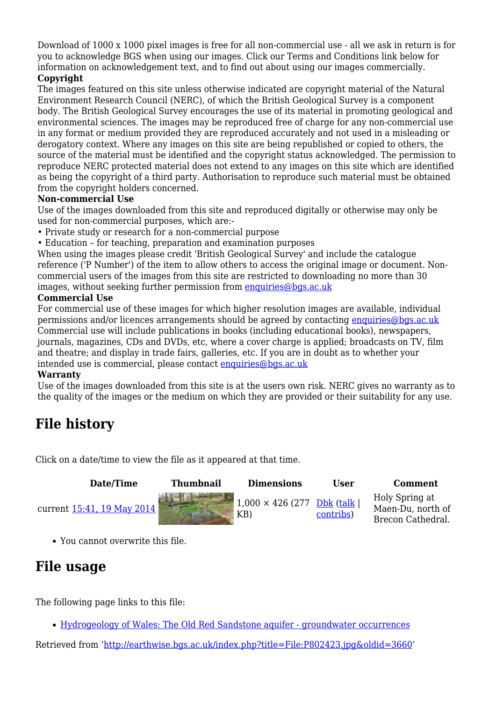Download of 1000 x 1000 pixel images is free for all non-commercial use - all we ask in return is for you to acknowledge BGS when using our images. Click our Terms and Conditions link below for information on acknowledgement text, and to find out about using our images commercially.

#### **Copyright**

The images featured on this site unless otherwise indicated are copyright material of the Natural Environment Research Council (NERC), of which the British Geological Survey is a component body. The British Geological Survey encourages the use of its material in promoting geological and environmental sciences. The images may be reproduced free of charge for any non-commercial use in any format or medium provided they are reproduced accurately and not used in a misleading or derogatory context. Where any images on this site are being republished or copied to others, the source of the material must be identified and the copyright status acknowledged. The permission to reproduce NERC protected material does not extend to any images on this site which are identified as being the copyright of a third party. Authorisation to reproduce such material must be obtained from the copyright holders concerned.

#### **Non-commercial Use**

Use of the images downloaded from this site and reproduced digitally or otherwise may only be used for non-commercial purposes, which are:-

- Private study or research for a non-commercial purpose
- Education for teaching, preparation and examination purposes

When using the images please credit 'British Geological Survey' and include the catalogue reference ('P Number') of the item to allow others to access the original image or document. Noncommercial users of the images from this site are restricted to downloading no more than 30 images, without seeking further permission from [enquiries@bgs.ac.uk](mailto:enquiries@bgs.ac.uk)

#### **Commercial Use**

For commercial use of these images for which higher resolution images are available, individual permissions and/or licences arrangements should be agreed by contacting [enquiries@bgs.ac.uk](mailto:enquiries@bgs.ac.uk) Commercial use will include publications in books (including educational books), newspapers, journals, magazines, CDs and DVDs, etc, where a cover charge is applied; broadcasts on TV, film and theatre; and display in trade fairs, galleries, etc. If you are in doubt as to whether your intended use is commercial, please contact [enquiries@bgs.ac.uk](mailto:enquiries@bgs.ac.uk)

#### **Warranty**

Use of the images downloaded from this site is at the users own risk. NERC gives no warranty as to the quality of the images or the medium on which they are provided or their suitability for any use.

# **File history**

Click on a date/time to view the file as it appeared at that time.

| Date/Time                         | <b>Thumbnail</b> | <b>Dimensions</b>               | User                    | Comment                                                  |
|-----------------------------------|------------------|---------------------------------|-------------------------|----------------------------------------------------------|
| current <u>15:41, 19 May 2014</u> |                  | $1,000 \times 426$ (277)<br>KB) | Dbk (talk)<br>contribs) | Holy Spring at<br>Maen-Du, north of<br>Brecon Cathedral. |

You cannot overwrite this file.

# **File usage**

The following page links to this file:

[Hydrogeology of Wales: The Old Red Sandstone aquifer - groundwater occurrences](http://earthwise.bgs.ac.uk/index.php/Hydrogeology_of_Wales:_The_Old_Red_Sandstone_aquifer_-_groundwater_occurrences)

Retrieved from ['http://earthwise.bgs.ac.uk/index.php?title=File:P802423.jpg&oldid=3660](http://earthwise.bgs.ac.uk/index.php?title=File:P802423.jpg&oldid=3660)'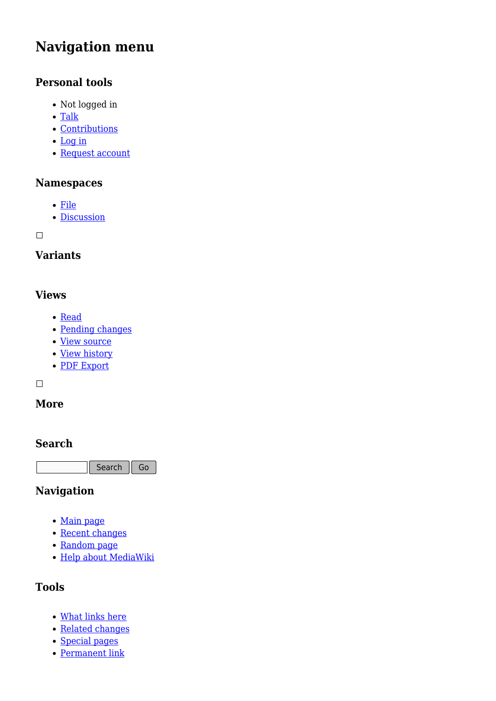# **Navigation menu**

# **Personal tools**

- Not logged in
- [Talk](http://earthwise.bgs.ac.uk/index.php/Special:MyTalk)
- [Contributions](http://earthwise.bgs.ac.uk/index.php/Special:MyContributions)
- [Log in](http://earthwise.bgs.ac.uk/index.php?title=Special:UserLogin&returnto=File%3AP802423.jpg&returntoquery=action%3Dmpdf)
- [Request account](http://earthwise.bgs.ac.uk/index.php/Special:RequestAccount)

### **Namespaces**

- [File](http://earthwise.bgs.ac.uk/index.php/File:P802423.jpg)
- [Discussion](http://earthwise.bgs.ac.uk/index.php?title=File_talk:P802423.jpg&action=edit&redlink=1)

 $\Box$ 

# **Variants**

### **Views**

- [Read](http://earthwise.bgs.ac.uk/index.php?title=File:P802423.jpg&stable=1)
- [Pending changes](http://earthwise.bgs.ac.uk/index.php?title=File:P802423.jpg&stable=0&redirect=no)
- [View source](http://earthwise.bgs.ac.uk/index.php?title=File:P802423.jpg&action=edit)
- [View history](http://earthwise.bgs.ac.uk/index.php?title=File:P802423.jpg&action=history)
- [PDF Export](http://earthwise.bgs.ac.uk/index.php?title=File:P802423.jpg&action=mpdf)

 $\Box$ 

### **More**

#### **Search**

Search Go

### **Navigation**

- [Main page](http://earthwise.bgs.ac.uk/index.php/Main_Page)
- [Recent changes](http://earthwise.bgs.ac.uk/index.php/Special:RecentChanges)
- [Random page](http://earthwise.bgs.ac.uk/index.php/Special:Random)
- [Help about MediaWiki](https://www.mediawiki.org/wiki/Special:MyLanguage/Help:Contents)

# **Tools**

- [What links here](http://earthwise.bgs.ac.uk/index.php/Special:WhatLinksHere/File:P802423.jpg)
- [Related changes](http://earthwise.bgs.ac.uk/index.php/Special:RecentChangesLinked/File:P802423.jpg)
- [Special pages](http://earthwise.bgs.ac.uk/index.php/Special:SpecialPages)
- [Permanent link](http://earthwise.bgs.ac.uk/index.php?title=File:P802423.jpg&oldid=3660)